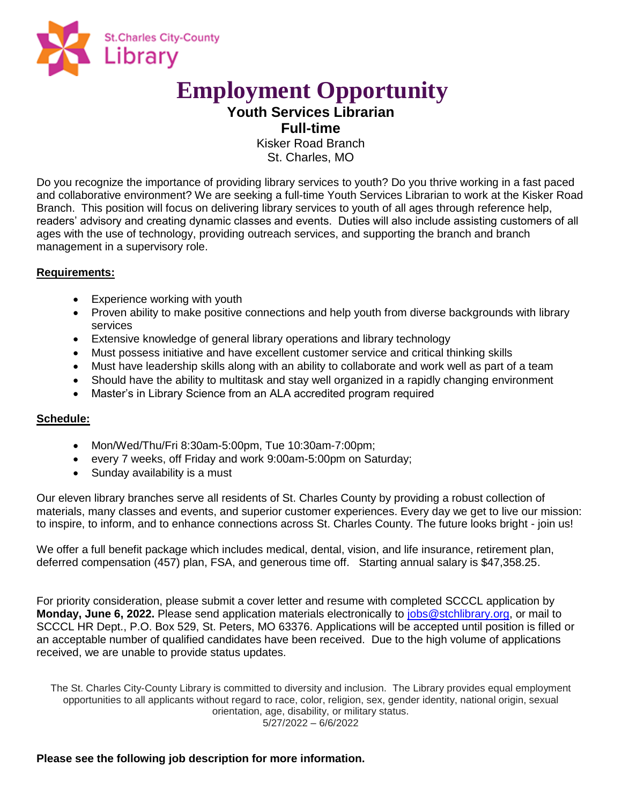

# **Employment Opportunity**

**Youth Services Librarian Full-time**

> Kisker Road Branch St. Charles, MO

Do you recognize the importance of providing library services to youth? Do you thrive working in a fast paced and collaborative environment? We are seeking a full-time Youth Services Librarian to work at the Kisker Road Branch. This position will focus on delivering library services to youth of all ages through reference help, readers' advisory and creating dynamic classes and events. Duties will also include assisting customers of all ages with the use of technology, providing outreach services, and supporting the branch and branch management in a supervisory role.

# **Requirements:**

- Experience working with youth
- Proven ability to make positive connections and help youth from diverse backgrounds with library services
- Extensive knowledge of general library operations and library technology
- Must possess initiative and have excellent customer service and critical thinking skills
- Must have leadership skills along with an ability to collaborate and work well as part of a team
- Should have the ability to multitask and stay well organized in a rapidly changing environment
- Master's in Library Science from an ALA accredited program required

# **Schedule:**

- Mon/Wed/Thu/Fri 8:30am-5:00pm, Tue 10:30am-7:00pm;
- every 7 weeks, off Friday and work 9:00am-5:00pm on Saturday;
- Sunday availability is a must

Our eleven library branches serve all residents of St. Charles County by providing a robust collection of materials, many classes and events, and superior customer experiences. Every day we get to live our mission: to inspire, to inform, and to enhance connections across St. Charles County. The future looks bright - join us!

We offer a full benefit package which includes medical, dental, vision, and life insurance, retirement plan, deferred compensation (457) plan, FSA, and generous time off. Starting annual salary is \$47,358.25.

For priority consideration, please submit a cover letter and resume with completed SCCCL application by **Monday, June 6, 2022.** Please send application materials electronically to jobs@stchlibrary.org, or mail to SCCCL HR Dept., P.O. Box 529, St. Peters, MO 63376. Applications will be accepted until position is filled or an acceptable number of qualified candidates have been received. Due to the high volume of applications received, we are unable to provide status updates.

The St. Charles City-County Library is committed to diversity and inclusion. The Library provides equal employment opportunities to all applicants without regard to race, color, religion, sex, gender identity, national origin, sexual orientation, age, disability, or military status. 5/27/2022 – 6/6/2022

**Please see the following job description for more information.**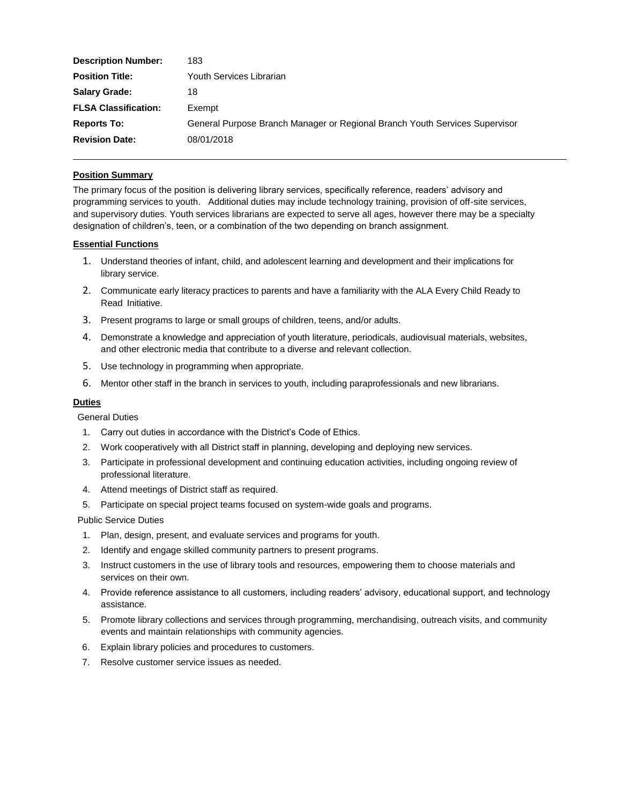| <b>Description Number:</b>  | 183                                                                         |
|-----------------------------|-----------------------------------------------------------------------------|
| <b>Position Title:</b>      | Youth Services Librarian                                                    |
| <b>Salary Grade:</b>        | 18                                                                          |
| <b>FLSA Classification:</b> | Exempt                                                                      |
| <b>Reports To:</b>          | General Purpose Branch Manager or Regional Branch Youth Services Supervisor |
| <b>Revision Date:</b>       | 08/01/2018                                                                  |

# **Position Summary**

The primary focus of the position is delivering library services, specifically reference, readers' advisory and programming services to youth. Additional duties may include technology training, provision of off-site services, and supervisory duties. Youth services librarians are expected to serve all ages, however there may be a specialty designation of children's, teen, or a combination of the two depending on branch assignment.

#### **Essential Functions**

- 1. Understand theories of infant, child, and adolescent learning and development and their implications for library service.
- 2. Communicate early literacy practices to parents and have a familiarity with the ALA Every Child Ready to Read Initiative.
- 3. Present programs to large or small groups of children, teens, and/or adults.
- 4. Demonstrate a knowledge and appreciation of youth literature, periodicals, audiovisual materials, websites, and other electronic media that contribute to a diverse and relevant collection.
- 5. Use technology in programming when appropriate.
- 6. Mentor other staff in the branch in services to youth, including paraprofessionals and new librarians.

## **Duties**

General Duties

- 1. Carry out duties in accordance with the District's Code of Ethics.
- 2. Work cooperatively with all District staff in planning, developing and deploying new services.
- 3. Participate in professional development and continuing education activities, including ongoing review of professional literature.
- 4. Attend meetings of District staff as required.
- 5. Participate on special project teams focused on system-wide goals and programs.

Public Service Duties

- 1. Plan, design, present, and evaluate services and programs for youth.
- 2. Identify and engage skilled community partners to present programs.
- 3. Instruct customers in the use of library tools and resources, empowering them to choose materials and services on their own.
- 4. Provide reference assistance to all customers, including readers' advisory, educational support, and technology assistance.
- 5. Promote library collections and services through programming, merchandising, outreach visits, and community events and maintain relationships with community agencies.
- 6. Explain library policies and procedures to customers.
- 7. Resolve customer service issues as needed.